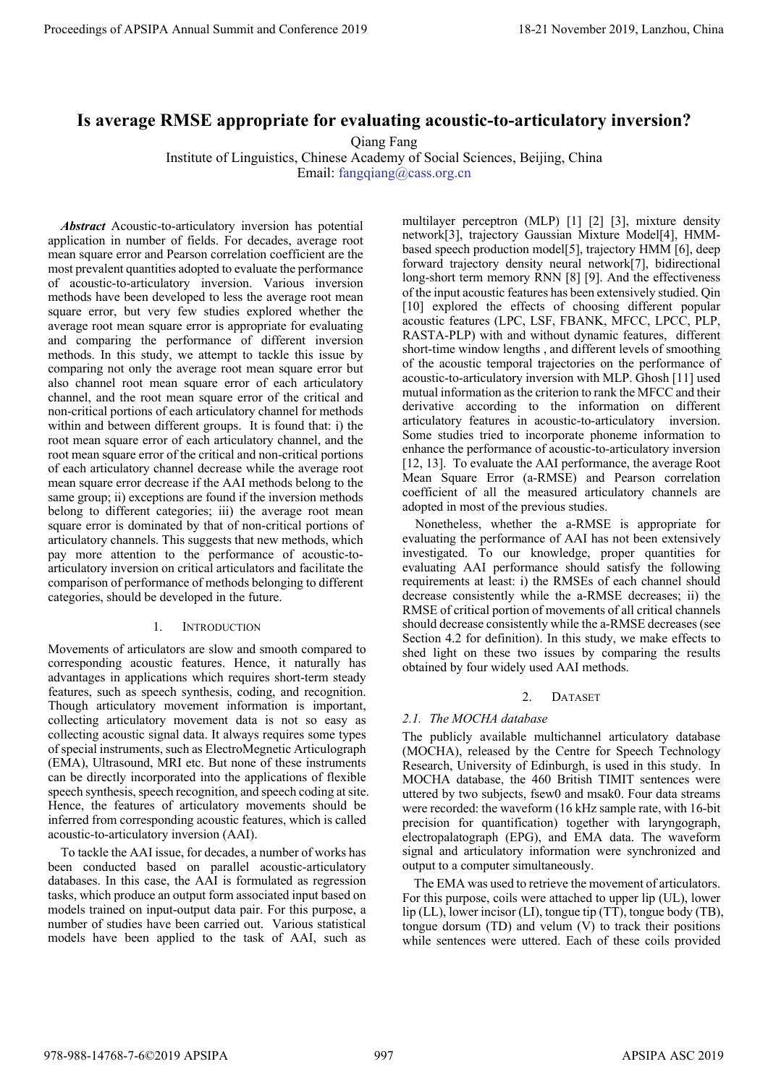# **Is average RMSE appropriate for evaluating acoustic-to-articulatory inversion?**

Qiang Fang

Institute of Linguistics, Chinese Academy of Social Sciences, Beijing, China

Email: fangqiang@cass.org.cn

*Abstract* Acoustic-to-articulatory inversion has potential application in number of fields. For decades, average root mean square error and Pearson correlation coefficient are the most prevalent quantities adopted to evaluate the performance of acoustic-to-articulatory inversion. Various inversion methods have been developed to less the average root mean square error, but very few studies explored whether the average root mean square error is appropriate for evaluating and comparing the performance of different inversion methods. In this study, we attempt to tackle this issue by comparing not only the average root mean square error but also channel root mean square error of each articulatory channel, and the root mean square error of the critical and non-critical portions of each articulatory channel for methods within and between different groups. It is found that: i) the root mean square error of each articulatory channel, and the root mean square error of the critical and non-critical portions of each articulatory channel decrease while the average root mean square error decrease if the AAI methods belong to the same group; ii) exceptions are found if the inversion methods belong to different categories; iii) the average root mean square error is dominated by that of non-critical portions of articulatory channels. This suggests that new methods, which pay more attention to the performance of acoustic-toarticulatory inversion on critical articulators and facilitate the comparison of performance of methods belonging to different categories, should be developed in the future. **Proceedings of APSIPA Annual Summit and Conference 2019**<br> **Is average RVSK appropriate for evaluating account of detail in the state of the state of the state of the state of the state of the state of the state of the st** 

# 1. INTRODUCTION

Movements of articulators are slow and smooth compared to corresponding acoustic features. Hence, it naturally has advantages in applications which requires short-term steady features, such as speech synthesis, coding, and recognition. Though articulatory movement information is important, collecting articulatory movement data is not so easy as collecting acoustic signal data. It always requires some types of special instruments, such as ElectroMegnetic Articulograph (EMA), Ultrasound, MRI etc. But none of these instruments can be directly incorporated into the applications of flexible speech synthesis, speech recognition, and speech coding at site. Hence, the features of articulatory movements should be inferred from corresponding acoustic features, which is called acoustic-to-articulatory inversion (AAI).

To tackle the AAI issue, for decades, a number of works has been conducted based on parallel acoustic-articulatory databases. In this case, the AAI is formulated as regression tasks, which produce an output form associated input based on models trained on input-output data pair. For this purpose, a number of studies have been carried out. Various statistical models have been applied to the task of AAI, such as multilayer perceptron (MLP) [1] [2] [3], mixture density network[3], trajectory Gaussian Mixture Model[4], HMMbased speech production model[5], trajectory HMM [6], deep forward trajectory density neural network[7], bidirectional long-short term memory RNN [8] [9]. And the effectiveness of the input acoustic features has been extensively studied. Qin [10] explored the effects of choosing different popular acoustic features (LPC, LSF, FBANK, MFCC, LPCC, PLP, RASTA-PLP) with and without dynamic features, different short-time window lengths , and different levels of smoothing of the acoustic temporal trajectories on the performance of acoustic-to-articulatory inversion with MLP. Ghosh [11] used mutual information as the criterion to rank the MFCC and their derivative according to the information on different articulatory features in acoustic-to-articulatory inversion. Some studies tried to incorporate phoneme information to enhance the performance of acoustic-to-articulatory inversion [12, 13]. To evaluate the AAI performance, the average Root Mean Square Error (a-RMSE) and Pearson correlation coefficient of all the measured articulatory channels are adopted in most of the previous studies.

Nonetheless, whether the a-RMSE is appropriate for evaluating the performance of AAI has not been extensively investigated. To our knowledge, proper quantities for evaluating AAI performance should satisfy the following requirements at least: i) the RMSEs of each channel should decrease consistently while the a-RMSE decreases; ii) the RMSE of critical portion of movements of all critical channels should decrease consistently while the a-RMSE decreases (see Section 4.2 for definition). In this study, we make effects to shed light on these two issues by comparing the results obtained by four widely used AAI methods.

# 2. DATASET

# *2.1. The MOCHA database*

The publicly available multichannel articulatory database (MOCHA), released by the Centre for Speech Technology Research, University of Edinburgh, is used in this study. In MOCHA database, the 460 British TIMIT sentences were uttered by two subjects, fsew0 and msak0. Four data streams were recorded: the waveform (16 kHz sample rate, with 16-bit precision for quantification) together with laryngograph, electropalatograph (EPG), and EMA data. The waveform signal and articulatory information were synchronized and output to a computer simultaneously.

The EMA was used to retrieve the movement of articulators. For this purpose, coils were attached to upper lip (UL), lower lip (LL), lower incisor (LI), tongue tip (TT), tongue body (TB), tongue dorsum (TD) and velum (V) to track their positions while sentences were uttered. Each of these coils provided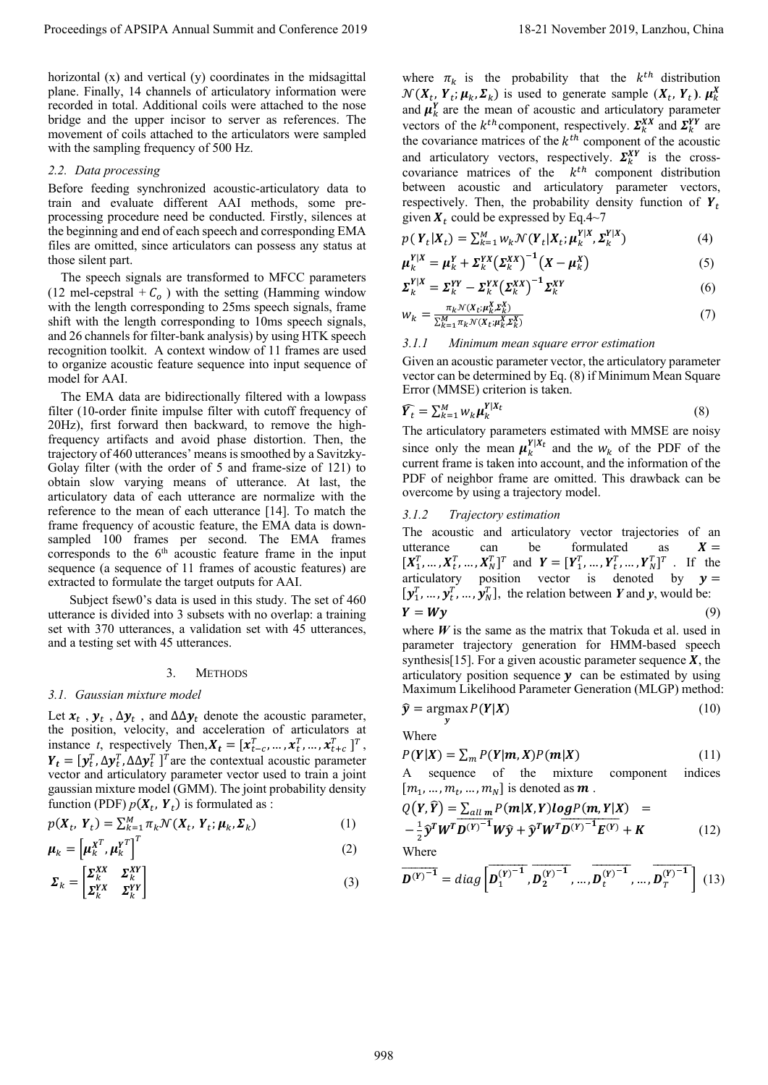horizontal (x) and vertical (y) coordinates in the midsagittal plane. Finally, 14 channels of articulatory information were recorded in total. Additional coils were attached to the nose bridge and the upper incisor to server as references. The movement of coils attached to the articulators were sampled with the sampling frequency of 500 Hz.

#### *2.2. Data processing*

Before feeding synchronized acoustic-articulatory data to train and evaluate different AAI methods, some preprocessing procedure need be conducted. Firstly, silences at the beginning and end of each speech and corresponding EMA files are omitted, since articulators can possess any status at those silent part.

The speech signals are transformed to MFCC parameters (12 mel-cepstral +  $C<sub>o</sub>$ ) with the setting (Hamming window with the length corresponding to 25ms speech signals, frame shift with the length corresponding to 10ms speech signals, and 26 channels for filter-bank analysis) by using HTK speech recognition toolkit. A context window of 11 frames are used to organize acoustic feature sequence into input sequence of model for AAI.

The EMA data are bidirectionally filtered with a lowpass filter (10-order finite impulse filter with cutoff frequency of 20Hz), first forward then backward, to remove the highfrequency artifacts and avoid phase distortion. Then, the trajectory of 460 utterances' means issmoothed by a Savitzky-Golay filter (with the order of 5 and frame-size of 121) to obtain slow varying means of utterance. At last, the articulatory data of each utterance are normalize with the reference to the mean of each utterance [14]. To match the frame frequency of acoustic feature, the EMA data is downsampled 100 frames per second. The EMA frames corresponds to the  $6<sup>th</sup>$  acoustic feature frame in the input sequence (a sequence of 11 frames of acoustic features) are extracted to formulate the target outputs for AAI. Proceedings of APSIPA Annual Summit and Conference 2019<br>
Internet of APSIPA Annual Summit and the specified of the specified of APSIPA and Conference 2019, Lanzhou, China 9988<br>
Internet of APSIPA Annual Summit and Confere

 Subject fsew0's data is used in this study. The set of 460 utterance is divided into 3 subsets with no overlap: a training set with 370 utterances, a validation set with 45 utterances, and a testing set with 45 utterances.

#### 3. METHODS

#### *3.1. Gaussian mixture model*

Let  $x_t$ ,  $y_t$ ,  $\Delta y_t$ , and  $\Delta \Delta y_t$  denote the acoustic parameter, the position, velocity, and acceleration of articulators at instance *t*, respectively Then,  $X_t = [x_{t-c}^T, ..., x_t^T, ..., x_{t+c}^T]^T$ ,  $Y_t = [y_t^T, \Delta y_t^T, \Delta \Delta y_t^T]^T$  are the contextual acoustic parameter vector and articulatory parameter vector used to train a joint gaussian mixture model (GMM). The joint probability density function (PDF)  $p(X_t, Y_t)$  is formulated as :

$$
p(X_t, Y_t) = \sum_{k=1}^{M} \pi_k \mathcal{N}(X_t, Y_t; \mu_k, \Sigma_k)
$$
 (1)

$$
\boldsymbol{\mu}_k = \left[ \boldsymbol{\mu}_k^{\mathbf{X}^T}, \boldsymbol{\mu}_k^{\mathbf{Y}^T} \right]^T
$$
 (2)

$$
\Sigma_k = \begin{bmatrix} \Sigma_k^{XX} & \Sigma_k^{XY} \\ \Sigma_k^{XX} & \Sigma_k^{YY} \end{bmatrix} \tag{3}
$$

where  $\pi_k$  is the probability that the  $k^{th}$  distribution  $\mathcal{N}(X_t, Y_t; \mu_k, \Sigma_k)$  is used to generate sample  $(X_t, Y_t)$ .  $\mu_k^X$ and  $\mu_k^{\gamma}$  are the mean of acoustic and articulatory parameter vectors of the  $k^{th}$  component, respectively.  $\Sigma_k^{XX}$  and  $\Sigma_k^{YY}$  are the covariance matrices of the  $k^{th}$  component of the acoustic and articulatory vectors, respectively.  $\Sigma_k^{XY}$  is the crosscovariance matrices of the  $k^{th}$  component distribution between acoustic and articulatory parameter vectors, respectively. Then, the probability density function of  $Y_t$ given  $X_t$  could be expressed by Eq.4~7

$$
p(\boldsymbol{Y}_t|\boldsymbol{X}_t) = \sum_{k=1}^M w_k \mathcal{N}(\boldsymbol{Y}_t|\boldsymbol{X}_t; \boldsymbol{\mu}_k^{\mathbf{Y}|\boldsymbol{X}}, \boldsymbol{\Sigma}_k^{\mathbf{Y}|\boldsymbol{X}})
$$
(4)

$$
\mu_k^{Y|X} = \mu_k^Y + \Sigma_k^{YX} (\Sigma_k^{XX})^{-1} (X - \mu_k^X)
$$
 (5)

$$
\Sigma_k^{Y|X} = \Sigma_k^{YY} - \Sigma_k^{YX} (\Sigma_k^{XX})^{-1} \Sigma_k^{XY}
$$
\n
$$
\tag{6}
$$

$$
w_k = \frac{\pi_k \mathcal{N}(X_t; \mu_k^X, \Sigma_k^X)}{\sum_{k=1}^M \pi_k \mathcal{N}(X_t; \mu_k^X, \Sigma_k^X)} \tag{7}
$$

## *3.1.1 Minimum mean square error estimation*

Given an acoustic parameter vector, the articulatory parameter vector can be determined by Eq. (8) if Minimum Mean Square Error (MMSE) criterion is taken.

$$
\widehat{Y}_t = \sum_{k=1}^M w_k \mu_k^{Y|X_t}
$$
\n(8)

The articulatory parameters estimated with MMSE are noisy since only the mean  $\mu_k^{V|X_t}$  and the  $W_k$  of the PDF of the current frame is taken into account, and the information of the PDF of neighbor frame are omitted. This drawback can be overcome by using a trajectory model.

## *3.1.2 Trajectory estimation*

The acoustic and articulatory vector trajectories of an utterance can be formulated as  $X =$  $[X_1^T, ..., X_t^T, ..., X_N^T]^T$  and  $Y = [Y_1^T, ..., Y_t^T, ..., Y_N^T]^T$ . If the articulatory position vector is denoted by  $y =$  $[\mathbf{y}_1^T, ..., \mathbf{y}_t^T, ..., \mathbf{y}_N^T]$ , the relation between *Y* and *y*, would be:  $Y = Wv$  (9)

where  $W$  is the same as the matrix that Tokuda et al. used in parameter trajectory generation for HMM-based speech synthesis<sup>[15]</sup>. For a given acoustic parameter sequence  $X$ , the articulatory position sequence  $y$  can be estimated by using Maximum Likelihood Parameter Generation (MLGP) method:

$$
\hat{\mathbf{y}} = \underset{\mathbf{v}}{\operatorname{argmax}} P(\mathbf{Y}|\mathbf{X})
$$
\n(10)

Where

$$
P(Y|X) = \sum_{m} P(Y|m, X)P(m|X)
$$
\n(11)

A sequence of the mixture component indices  $[m_1, \ldots, m_t, \ldots, m_N]$  is denoted as **m**.

$$
Q(Y,\widehat{Y}) = \sum_{all m} P(m|X,Y)log P(m,Y|X) = -\frac{1}{2}\widehat{y}^T W^T \overline{D^{(Y)}}^{-1} W \widehat{y} + \widehat{y}^T W^T \overline{D^{(Y)}}^{-1} E^{(Y)} + K
$$
(12)

Where

$$
\overline{\boldsymbol{D}^{(Y)}}^{-1} = diag\left[\overline{\boldsymbol{D}_1^{(Y)}}^{-1}, \overline{\boldsymbol{D}_2^{(Y)}}^{-1}, \dots, \overline{\boldsymbol{D}_t^{(Y)}}^{-1}, \dots, \overline{\boldsymbol{D}_T^{(Y)}}^{-1}\right] (13)
$$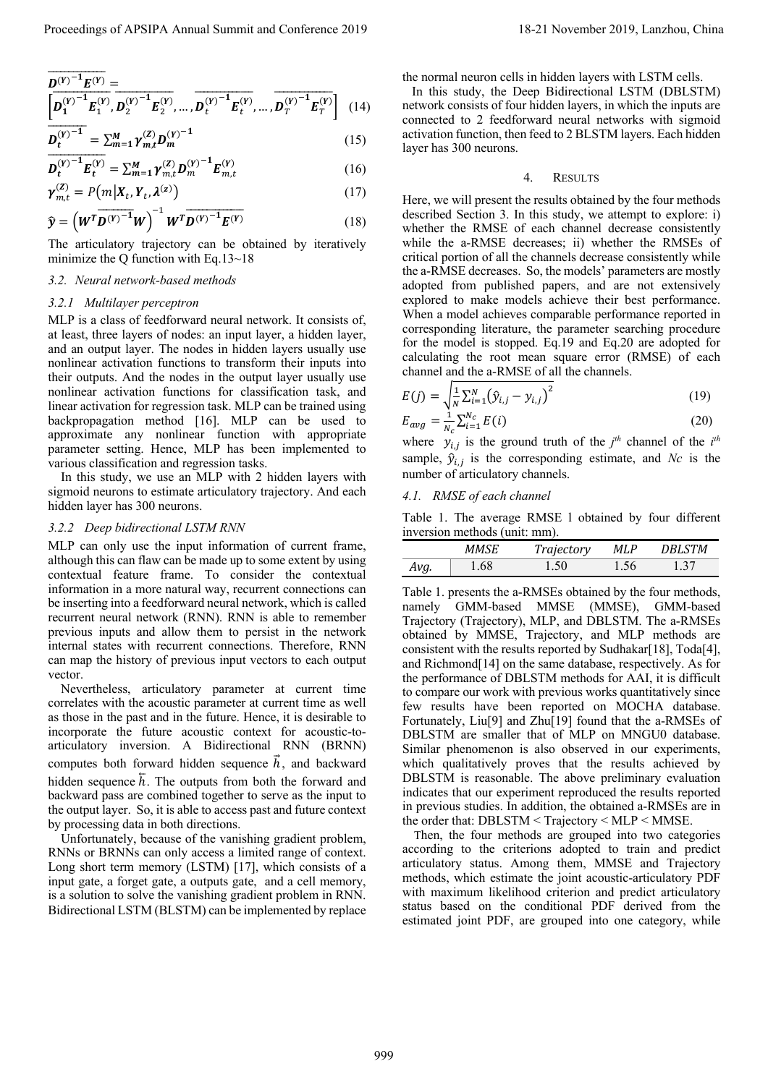$$
\overline{\mathbf{D}^{(Y)^{-1}} \mathbf{E}^{(Y)}} = \left[ \overline{\mathbf{D}^{(Y)^{-1}}_{1} \mathbf{E}^{(Y)}_{1}}, \overline{\mathbf{D}^{(Y)^{-1}}_{2} \mathbf{E}^{(Y)}_{2}}, \dots, \overline{\mathbf{D}^{(Y)^{-1}}_{t} \mathbf{E}^{(Y)}_{t}}, \dots, \overline{\mathbf{D}^{(Y)^{-1}}_{T} \mathbf{E}^{(Y)}_{T}} \right] (14)
$$

$$
\overline{D_t^{(Y)^{-1}}} = \sum_{m=1}^{M} \gamma_{m,t}^{(Z)} D_m^{(Y)^{-1}}
$$
(15)

$$
\overline{D_t^{(Y)}}^{-1} E_t^{(Y)} = \sum_{m=1}^{M} \gamma_{m,t}^{(Z)} D_m^{(Y)}^{-1} E_{m,t}^{(Y)}
$$
(16)

$$
\gamma_{m,t}^{(Z)} = P(m|X_t, Y_t, \lambda^{(z)})
$$
\n(17)

$$
\widehat{\mathbf{y}} = \left(\boldsymbol{W}^T \boldsymbol{D}^{(\boldsymbol{Y})^{-1}} \boldsymbol{W}\right)^{-1} \boldsymbol{W}^T \boldsymbol{D}^{(\boldsymbol{Y})^{-1}} \boldsymbol{E}^{(\boldsymbol{Y})} \tag{18}
$$

The articulatory trajectory can be obtained by iteratively minimize the Q function with Eq.13~18

## *3.2. Neural network-based methods*

## *3.2.1 Multilayer perceptron*

MLP is a class of feedforward neural network. It consists of, at least, three layers of nodes: an input layer, a hidden layer, and an output layer. The nodes in hidden layers usually use nonlinear activation functions to transform their inputs into their outputs. And the nodes in the output layer usually use nonlinear activation functions for classification task, and linear activation for regression task. MLP can be trained using backpropagation method [16]. MLP can be used to approximate any nonlinear function with appropriate parameter setting. Hence, MLP has been implemented to various classification and regression tasks.

In this study, we use an MLP with 2 hidden layers with sigmoid neurons to estimate articulatory trajectory. And each hidden layer has 300 neurons.

## *3.2.2 Deep bidirectional LSTM RNN*

MLP can only use the input information of current frame, although this can flaw can be made up to some extent by using contextual feature frame. To consider the contextual information in a more natural way, recurrent connections can be inserting into a feedforward neural network, which is called recurrent neural network (RNN). RNN is able to remember previous inputs and allow them to persist in the network internal states with recurrent connections. Therefore, RNN can map the history of previous input vectors to each output vector.

Nevertheless, articulatory parameter at current time correlates with the acoustic parameter at current time as well as those in the past and in the future. Hence, it is desirable to incorporate the future acoustic context for acoustic-toarticulatory inversion. A Bidirectional RNN (BRNN) computes both forward hidden sequence  $h$ , and backward hidden sequence  $\bar{h}$ . The outputs from both the forward and backward pass are combined together to serve as the input to the output layer. So, it is able to access past and future context by processing data in both directions.

Unfortunately, because of the vanishing gradient problem, RNNs or BRNNs can only access a limited range of context. Long short term memory (LSTM) [17], which consists of a input gate, a forget gate, a outputs gate, and a cell memory, is a solution to solve the vanishing gradient problem in RNN. Bidirectional LSTM (BLSTM) can be implemented by replace the normal neuron cells in hidden layers with LSTM cells.

 In this study, the Deep Bidirectional LSTM (DBLSTM) network consists of four hidden layers, in which the inputs are connected to 2 feedforward neural networks with sigmoid activation function, then feed to 2 BLSTM layers. Each hidden layer has 300 neurons.

## 4. RESULTS

Here, we will present the results obtained by the four methods described Section 3. In this study, we attempt to explore: i) whether the RMSE of each channel decrease consistently while the a-RMSE decreases; ii) whether the RMSEs of critical portion of all the channels decrease consistently while the a-RMSE decreases. So, the models' parameters are mostly adopted from published papers, and are not extensively explored to make models achieve their best performance. When a model achieves comparable performance reported in corresponding literature, the parameter searching procedure for the model is stopped. Eq.19 and Eq.20 are adopted for calculating the root mean square error (RMSE) of each channel and the a-RMSE of all the channels.

$$
E(j) = \sqrt{\frac{1}{N} \sum_{i=1}^{N} (\hat{y}_{i,j} - y_{i,j})^2}
$$
 (19)

$$
E_{avg} = \frac{1}{N_c} \sum_{i=1}^{N_c} E(i)
$$
 (20)

where  $y_{i,j}$  is the ground truth of the  $j<sup>th</sup>$  channel of the  $i<sup>th</sup>$ sample,  $\hat{y}_{i,j}$  is the corresponding estimate, and *Nc* is the number of articulatory channels.

## *4.1. RMSE of each channel*

Table 1. The average RMSE l obtained by four different inversion methods (unit: mm).

|      | <b>MMSE</b> | Trajectory | MLP  | DBLSTM |
|------|-------------|------------|------|--------|
| Avg. | .68         | 1.50       | 1.56 | 1.37   |

Table 1. presents the a-RMSEs obtained by the four methods, namely GMM-based MMSE (MMSE), GMM-based Trajectory (Trajectory), MLP, and DBLSTM. The a-RMSEs obtained by MMSE, Trajectory, and MLP methods are consistent with the results reported by Sudhakar[18], Toda[4], and Richmond[14] on the same database, respectively. As for the performance of DBLSTM methods for AAI, it is difficult to compare our work with previous works quantitatively since few results have been reported on MOCHA database. Fortunately, Liu[9] and Zhu[19] found that the a-RMSEs of DBLSTM are smaller that of MLP on MNGU0 database. Similar phenomenon is also observed in our experiments, which qualitatively proves that the results achieved by DBLSTM is reasonable. The above preliminary evaluation indicates that our experiment reproduced the results reported in previous studies. In addition, the obtained a-RMSEs are in the order that: DBLSTM < Trajectory < MLP < MMSE. Proceeding The anialisty of  $\mathbb{R}^n$  and  $P_n^T P_n^T = \sum_{k=1}^n P_k^T P_k^T = \sum_{k=1}^n P_k^T P_k^T = \sum_{k=1}^n P_k^T P_k^T = \sum_{k=1}^n P_k^T P_k^T = \sum_{k=1}^n P_k^T P_k^T = \sum_{k=1}^n P_k^T P_k^T = \sum_{k=1}^n P_k^T P_k^T = \sum_{k=1}^n P_k^T P_k^T = \sum_{k=1}^n P_k^T P_k^T = \sum_{k=1$ 

Then, the four methods are grouped into two categories according to the criterions adopted to train and predict articulatory status. Among them, MMSE and Trajectory methods, which estimate the joint acoustic-articulatory PDF with maximum likelihood criterion and predict articulatory status based on the conditional PDF derived from the estimated joint PDF, are grouped into one category, while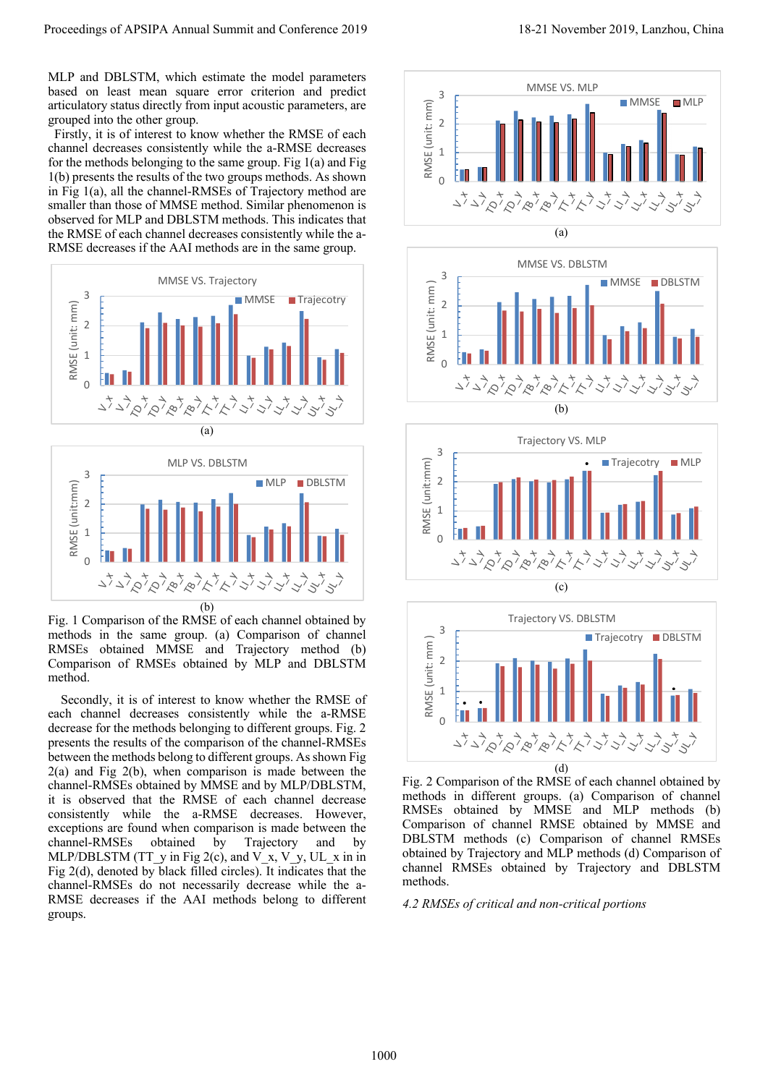MLP and DBLSTM, which estimate the model parameters based on least mean square error criterion and predict articulatory status directly from input acoustic parameters, are grouped into the other group.

 Firstly, it is of interest to know whether the RMSE of each channel decreases consistently while the a-RMSE decreases for the methods belonging to the same group. Fig 1(a) and Fig 1(b) presents the results of the two groups methods. As shown in Fig 1(a), all the channel-RMSEs of Trajectory method are smaller than those of MMSE method. Similar phenomenon is observed for MLP and DBLSTM methods. This indicates that the RMSE of each channel decreases consistently while the a-RMSE decreases if the AAI methods are in the same group.





Fig. 1 Comparison of the RMSE of each channel obtained by methods in the same group. (a) Comparison of channel RMSEs obtained MMSE and Trajectory method (b) Comparison of RMSEs obtained by MLP and DBLSTM method.

Secondly, it is of interest to know whether the RMSE of each channel decreases consistently while the a-RMSE decrease for the methods belonging to different groups. Fig. 2 presents the results of the comparison of the channel-RMSEs between the methods belong to different groups. As shown Fig 2(a) and Fig 2(b), when comparison is made between the channel-RMSEs obtained by MMSE and by MLP/DBLSTM, it is observed that the RMSE of each channel decrease consistently while the a-RMSE decreases. However, exceptions are found when comparison is made between the channel-RMSEs obtained by Trajectory and by MLP/DBLSTM (TT\_y in Fig 2(c), and V\_x, V\_y, UL\_x in in Fig 2(d), denoted by black filled circles). It indicates that the channel-RMSEs do not necessarily decrease while the a-RMSE decreases if the AAI methods belong to different groups. Proceedings of APSIPA Annual Summit and Conference 2019 18-21 November 2019, Lanzhou, China 1000









Fig. 2 Comparison of the RMSE of each channel obtained by methods in different groups. (a) Comparison of channel RMSEs obtained by MMSE and MLP methods (b) Comparison of channel RMSE obtained by MMSE and DBLSTM methods (c) Comparison of channel RMSEs obtained by Trajectory and MLP methods (d) Comparison of channel RMSEs obtained by Trajectory and DBLSTM methods.

*4.2 RMSEs of critical and non-critical portions*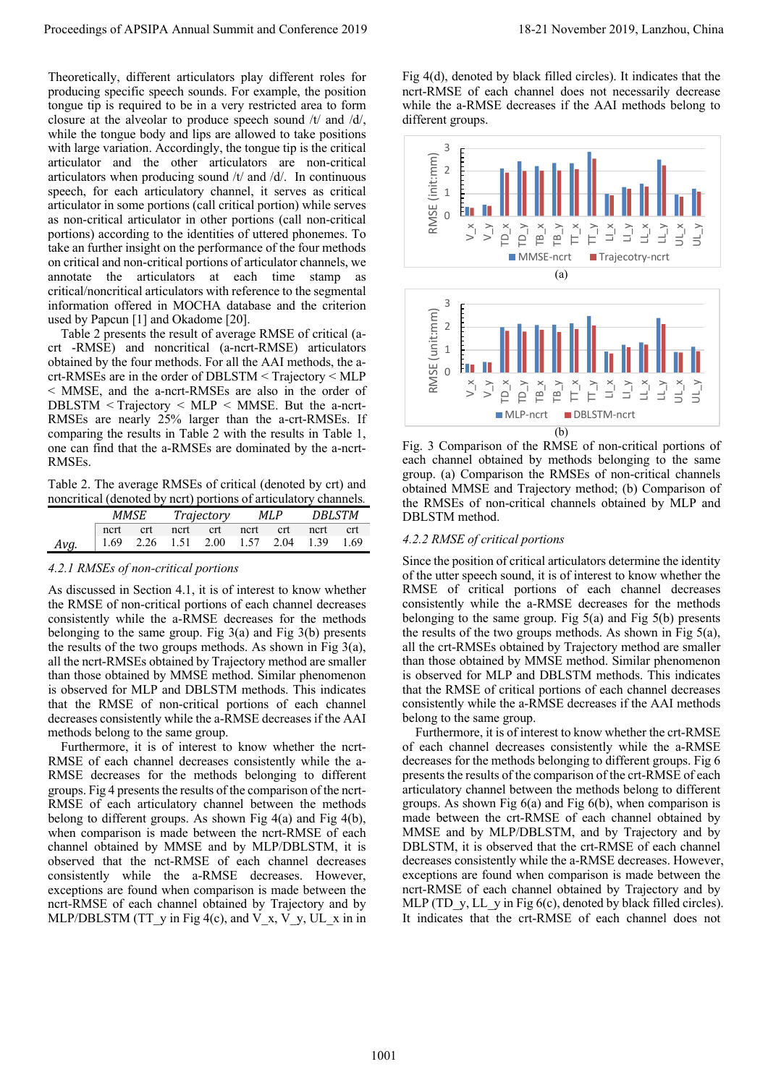Theoretically, different articulators play different roles for producing specific speech sounds. For example, the position tongue tip is required to be in a very restricted area to form closure at the alveolar to produce speech sound /t/ and /d/, while the tongue body and lips are allowed to take positions with large variation. Accordingly, the tongue tip is the critical articulator and the other articulators are non-critical articulators when producing sound /t/ and /d/. In continuous speech, for each articulatory channel, it serves as critical articulator in some portions (call critical portion) while serves as non-critical articulator in other portions (call non-critical portions) according to the identities of uttered phonemes. To take an further insight on the performance of the four methods on critical and non-critical portions of articulator channels, we annotate the articulators at each time stamp as critical/noncritical articulators with reference to the segmental information offered in MOCHA database and the criterion used by Papcun [1] and Okadome [20].

Table 2 presents the result of average RMSE of critical (acrt -RMSE) and noncritical (a-ncrt-RMSE) articulators obtained by the four methods. For all the AAI methods, the acrt-RMSEs are in the order of DBLSTM < Trajectory < MLP < MMSE, and the a-ncrt-RMSEs are also in the order of DBLSTM < Trajectory < MLP < MMSE. But the a-ncrt-RMSEs are nearly 25% larger than the a-crt-RMSEs. If comparing the results in Table 2 with the results in Table 1, one can find that the a-RMSEs are dominated by the a-ncrt-RMSEs.

Table 2. The average RMSEs of critical (denoted by crt) and noncritical (denoted by ncrt) portions of articulatory channels*.*

|      | MMSE     |  | Trajectory |                                                 | MLP |  | DBLSTM |  |
|------|----------|--|------------|-------------------------------------------------|-----|--|--------|--|
|      | ncrt crt |  |            | ncrt crt ncrt crt ncrt crt                      |     |  |        |  |
| Avg. |          |  |            | $\vert$ 1.69 2.26 1.51 2.00 1.57 2.04 1.39 1.69 |     |  |        |  |

# *4.2.1 RMSEs of non-critical portions*

As discussed in Section 4.1, it is of interest to know whether the RMSE of non-critical portions of each channel decreases consistently while the a-RMSE decreases for the methods belonging to the same group. Fig  $3(a)$  and Fig  $3(b)$  presents the results of the two groups methods. As shown in Fig 3(a), all the ncrt-RMSEs obtained by Trajectory method are smaller than those obtained by MMSE method. Similar phenomenon is observed for MLP and DBLSTM methods. This indicates that the RMSE of non-critical portions of each channel decreases consistently while the a-RMSE decreases if the AAI methods belong to the same group.

Furthermore, it is of interest to know whether the ncrt-RMSE of each channel decreases consistently while the a-RMSE decreases for the methods belonging to different groups. Fig 4 presents the results of the comparison of the ncrt-RMSE of each articulatory channel between the methods belong to different groups. As shown Fig 4(a) and Fig 4(b), when comparison is made between the ncrt-RMSE of each channel obtained by MMSE and by MLP/DBLSTM, it is observed that the nct-RMSE of each channel decreases consistently while the a-RMSE decreases. However, exceptions are found when comparison is made between the ncrt-RMSE of each channel obtained by Trajectory and by MLP/DBLSTM (TT\_y in Fig 4(c), and V\_x, V\_y, UL\_x in in Fig 4(d), denoted by black filled circles). It indicates that the ncrt-RMSE of each channel does not necessarily decrease while the a-RMSE decreases if the AAI methods belong to different groups.



Fig. 3 Comparison of the RMSE of non-critical portions of each channel obtained by methods belonging to the same group. (a) Comparison the RMSEs of non-critical channels obtained MMSE and Trajectory method; (b) Comparison of the RMSEs of non-critical channels obtained by MLP and DBLSTM method.

# *4.2.2 RMSE of critical portions*

Since the position of critical articulators determine the identity of the utter speech sound, it is of interest to know whether the RMSE of critical portions of each channel decreases consistently while the a-RMSE decreases for the methods belonging to the same group. Fig  $5(a)$  and Fig  $5(b)$  presents the results of the two groups methods. As shown in Fig 5(a), all the crt-RMSEs obtained by Trajectory method are smaller than those obtained by MMSE method. Similar phenomenon is observed for MLP and DBLSTM methods. This indicates that the RMSE of critical portions of each channel decreases consistently while the a-RMSE decreases if the AAI methods belong to the same group.

Furthermore, it is of interest to know whether the crt-RMSE of each channel decreases consistently while the a-RMSE decreases for the methods belonging to different groups. Fig 6 presents the results of the comparison of the crt-RMSE of each articulatory channel between the methods belong to different groups. As shown Fig 6(a) and Fig 6(b), when comparison is made between the crt-RMSE of each channel obtained by MMSE and by MLP/DBLSTM, and by Trajectory and by DBLSTM, it is observed that the crt-RMSE of each channel decreases consistently while the a-RMSE decreases. However, exceptions are found when comparison is made between the ncrt-RMSE of each channel obtained by Trajectory and by MLP (TD\_y, LL\_y in Fig 6(c), denoted by black filled circles). It indicates that the crt-RMSE of each channel does not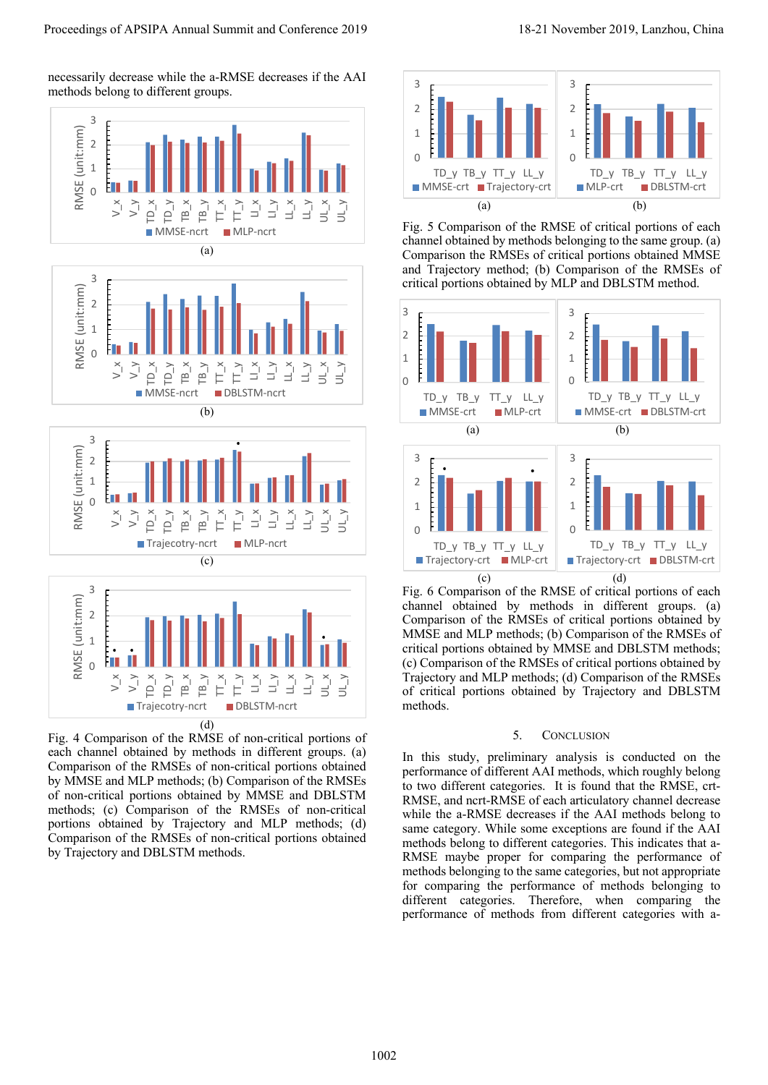necessarily decrease while the a-RMSE decreases if the AAI methods belong to different groups.



Fig. 4 Comparison of the RMSE of non-critical portions of each channel obtained by methods in different groups. (a) Comparison of the RMSEs of non-critical portions obtained by MMSE and MLP methods; (b) Comparison of the RMSEs of non-critical portions obtained by MMSE and DBLSTM methods; (c) Comparison of the RMSEs of non-critical portions obtained by Trajectory and MLP methods; (d) Comparison of the RMSEs of non-critical portions obtained by Trajectory and DBLSTM methods.



Fig. 5 Comparison of the RMSE of critical portions of each channel obtained by methods belonging to the same group. (a) Comparison the RMSEs of critical portions obtained MMSE and Trajectory method; (b) Comparison of the RMSEs of critical portions obtained by MLP and DBLSTM method.



Fig. 6 Comparison of the RMSE of critical portions of each channel obtained by methods in different groups. (a) Comparison of the RMSEs of critical portions obtained by MMSE and MLP methods; (b) Comparison of the RMSEs of critical portions obtained by MMSE and DBLSTM methods; (c) Comparison of the RMSEs of critical portions obtained by Trajectory and MLP methods; (d) Comparison of the RMSEs of critical portions obtained by Trajectory and DBLSTM methods.

#### 5. CONCLUSION

In this study, preliminary analysis is conducted on the performance of different AAI methods, which roughly belong to two different categories. It is found that the RMSE, crt-RMSE, and ncrt-RMSE of each articulatory channel decrease while the a-RMSE decreases if the AAI methods belong to same category. While some exceptions are found if the AAI methods belong to different categories. This indicates that a-RMSE maybe proper for comparing the performance of methods belonging to the same categories, but not appropriate for comparing the performance of methods belonging to different categories. Therefore, when comparing the performance of methods from different categories with a-